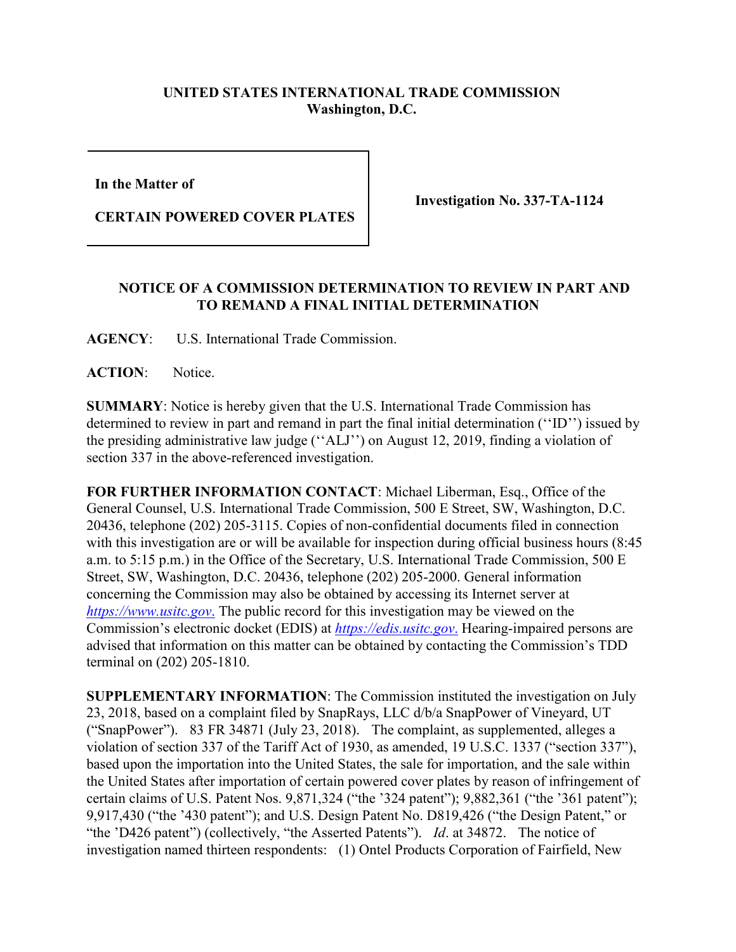## **UNITED STATES INTERNATIONAL TRADE COMMISSION Washington, D.C.**

**In the Matter of** 

**CERTAIN POWERED COVER PLATES**

**Investigation No. 337-TA-1124**

## **NOTICE OF A COMMISSION DETERMINATION TO REVIEW IN PART AND TO REMAND A FINAL INITIAL DETERMINATION**

**AGENCY**: U.S. International Trade Commission.

ACTION: Notice.

**SUMMARY**: Notice is hereby given that the U.S. International Trade Commission has determined to review in part and remand in part the final initial determination (''ID'') issued by the presiding administrative law judge (''ALJ'') on August 12, 2019, finding a violation of section 337 in the above-referenced investigation.

**FOR FURTHER INFORMATION CONTACT**: Michael Liberman, Esq., Office of the General Counsel, U.S. International Trade Commission, 500 E Street, SW, Washington, D.C. 20436, telephone (202) 205-3115. Copies of non-confidential documents filed in connection with this investigation are or will be available for inspection during official business hours (8:45 a.m. to 5:15 p.m.) in the Office of the Secretary, U.S. International Trade Commission, 500 E Street, SW, Washington, D.C. 20436, telephone (202) 205-2000. General information concerning the Commission may also be obtained by accessing its Internet server at *[https://www.usitc.gov](https://www.usitc.gov./)*. The public record for this investigation may be viewed on the Commission's electronic docket (EDIS) at *[https://edis.usitc.gov](https://edis.usitc.gov./)*. Hearing-impaired persons are advised that information on this matter can be obtained by contacting the Commission's TDD terminal on (202) 205-1810.

**SUPPLEMENTARY INFORMATION**: The Commission instituted the investigation on July 23, 2018, based on a complaint filed by SnapRays, LLC d/b/a SnapPower of Vineyard, UT ("SnapPower"). 83 FR 34871 (July 23, 2018). The complaint, as supplemented, alleges a violation of section 337 of the Tariff Act of 1930, as amended, 19 U.S.C. 1337 ("section 337"), based upon the importation into the United States, the sale for importation, and the sale within the United States after importation of certain powered cover plates by reason of infringement of certain claims of U.S. Patent Nos. 9,871,324 ("the '324 patent"); 9,882,361 ("the '361 patent"); 9,917,430 ("the '430 patent"); and U.S. Design Patent No. D819,426 ("the Design Patent," or "the 'D426 patent") (collectively, "the Asserted Patents"). *Id*. at 34872. The notice of investigation named thirteen respondents: (1) Ontel Products Corporation of Fairfield, New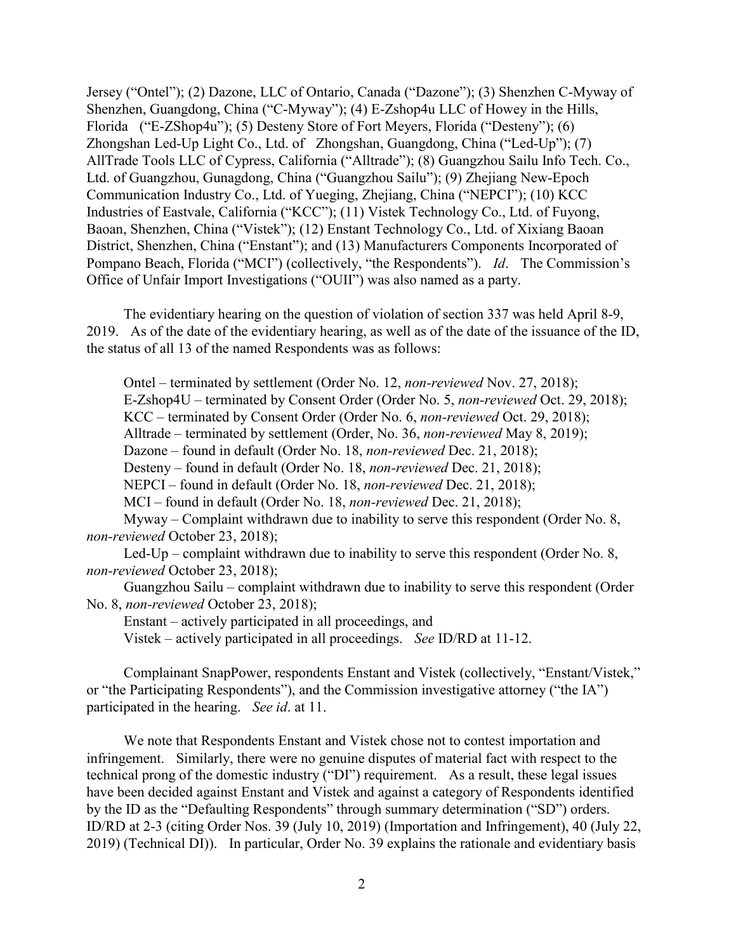Jersey ("Ontel"); (2) Dazone, LLC of Ontario, Canada ("Dazone"); (3) Shenzhen C-Myway of Shenzhen, Guangdong, China ("C-Myway"); (4) E-Zshop4u LLC of Howey in the Hills, Florida ("E-ZShop4u"); (5) Desteny Store of Fort Meyers, Florida ("Desteny"); (6) Zhongshan Led-Up Light Co., Ltd. of Zhongshan, Guangdong, China ("Led-Up"); (7) AllTrade Tools LLC of Cypress, California ("Alltrade"); (8) Guangzhou Sailu Info Tech. Co., Ltd. of Guangzhou, Gunagdong, China ("Guangzhou Sailu"); (9) Zhejiang New-Epoch Communication Industry Co., Ltd. of Yueging, Zhejiang, China ("NEPCI"); (10) KCC Industries of Eastvale, California ("KCC"); (11) Vistek Technology Co., Ltd. of Fuyong, Baoan, Shenzhen, China ("Vistek"); (12) Enstant Technology Co., Ltd. of Xixiang Baoan District, Shenzhen, China ("Enstant"); and (13) Manufacturers Components Incorporated of Pompano Beach, Florida ("MCI") (collectively, "the Respondents"). *Id*. The Commission's Office of Unfair Import Investigations ("OUII") was also named as a party.

The evidentiary hearing on the question of violation of section 337 was held April 8-9, 2019. As of the date of the evidentiary hearing, as well as of the date of the issuance of the ID, the status of all 13 of the named Respondents was as follows:

Ontel – terminated by settlement (Order No. 12, *non-reviewed* Nov. 27, 2018); E-Zshop4U – terminated by Consent Order (Order No. 5, *non-reviewed* Oct. 29, 2018); KCC – terminated by Consent Order (Order No. 6, *non-reviewed* Oct. 29, 2018); Alltrade – terminated by settlement (Order, No. 36, *non-reviewed* May 8, 2019); Dazone – found in default (Order No. 18, *non-reviewed* Dec. 21, 2018); Desteny – found in default (Order No. 18, *non-reviewed* Dec. 21, 2018); NEPCI – found in default (Order No. 18, *non-reviewed* Dec. 21, 2018); MCI – found in default (Order No. 18, *non-reviewed* Dec. 21, 2018); Myway – Complaint withdrawn due to inability to serve this respondent (Order No. 8, *non-reviewed* October 23, 2018); Led-Up – complaint withdrawn due to inability to serve this respondent (Order No. 8, *non-reviewed* October 23, 2018);

Guangzhou Sailu – complaint withdrawn due to inability to serve this respondent (Order No. 8, *non-reviewed* October 23, 2018);

Enstant – actively participated in all proceedings, and

Vistek – actively participated in all proceedings. *See* ID/RD at 11-12.

Complainant SnapPower, respondents Enstant and Vistek (collectively, "Enstant/Vistek," or "the Participating Respondents"), and the Commission investigative attorney ("the IA") participated in the hearing. *See id*. at 11.

We note that Respondents Enstant and Vistek chose not to contest importation and infringement. Similarly, there were no genuine disputes of material fact with respect to the technical prong of the domestic industry ("DI") requirement. As a result, these legal issues have been decided against Enstant and Vistek and against a category of Respondents identified by the ID as the "Defaulting Respondents" through summary determination ("SD") orders. ID/RD at 2-3 (citing Order Nos. 39 (July 10, 2019) (Importation and Infringement), 40 (July 22, 2019) (Technical DI)). In particular, Order No. 39 explains the rationale and evidentiary basis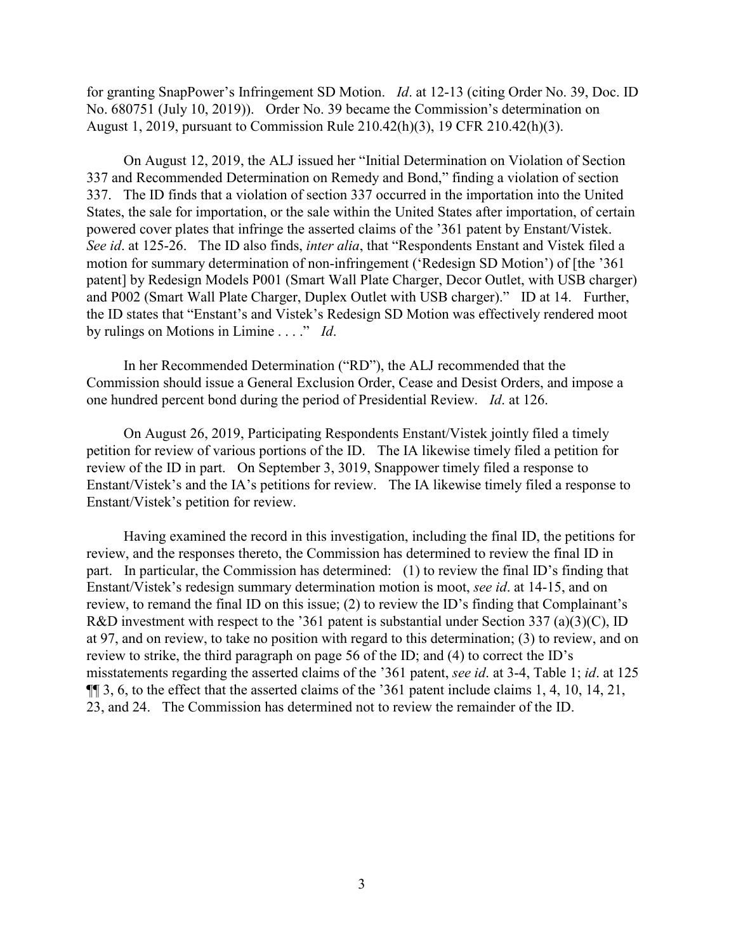for granting SnapPower's Infringement SD Motion. *Id*. at 12-13 (citing Order No. 39, Doc. ID No. 680751 (July 10, 2019)). Order No. 39 became the Commission's determination on August 1, 2019, pursuant to Commission Rule 210.42(h)(3), 19 CFR 210.42(h)(3).

On August 12, 2019, the ALJ issued her "Initial Determination on Violation of Section 337 and Recommended Determination on Remedy and Bond," finding a violation of section 337. The ID finds that a violation of section 337 occurred in the importation into the United States, the sale for importation, or the sale within the United States after importation, of certain powered cover plates that infringe the asserted claims of the '361 patent by Enstant/Vistek. *See id*. at 125-26. The ID also finds, *inter alia*, that "Respondents Enstant and Vistek filed a motion for summary determination of non-infringement ('Redesign SD Motion') of [the '361 patent] by Redesign Models P001 (Smart Wall Plate Charger, Decor Outlet, with USB charger) and P002 (Smart Wall Plate Charger, Duplex Outlet with USB charger)." ID at 14. Further, the ID states that "Enstant's and Vistek's Redesign SD Motion was effectively rendered moot by rulings on Motions in Limine . . . ." *Id*.

In her Recommended Determination ("RD"), the ALJ recommended that the Commission should issue a General Exclusion Order, Cease and Desist Orders, and impose a one hundred percent bond during the period of Presidential Review. *Id*. at 126.

On August 26, 2019, Participating Respondents Enstant/Vistek jointly filed a timely petition for review of various portions of the ID. The IA likewise timely filed a petition for review of the ID in part. On September 3, 3019, Snappower timely filed a response to Enstant/Vistek's and the IA's petitions for review. The IA likewise timely filed a response to Enstant/Vistek's petition for review.

Having examined the record in this investigation, including the final ID, the petitions for review, and the responses thereto, the Commission has determined to review the final ID in part. In particular, the Commission has determined: (1) to review the final ID's finding that Enstant/Vistek's redesign summary determination motion is moot, *see id*. at 14-15, and on review, to remand the final ID on this issue; (2) to review the ID's finding that Complainant's R&D investment with respect to the '361 patent is substantial under Section 337 (a)(3)(C), ID at 97, and on review, to take no position with regard to this determination; (3) to review, and on review to strike, the third paragraph on page 56 of the ID; and (4) to correct the ID's misstatements regarding the asserted claims of the '361 patent, *see id*. at 3-4, Table 1; *id*. at 125 ¶¶ 3, 6, to the effect that the asserted claims of the '361 patent include claims 1, 4, 10, 14, 21, 23, and 24. The Commission has determined not to review the remainder of the ID.